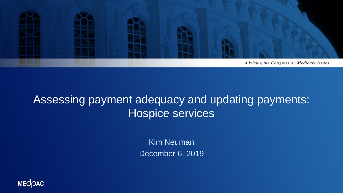

#### Assessing payment adequacy and updating payments: Hospice services

Kim Neuman December 6, 2019

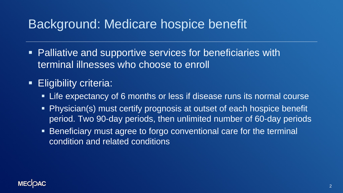## Background: Medicare hospice benefit

- Palliative and supportive services for beneficiaries with terminal illnesses who choose to enroll
- **Eligibility criteria:** 
	- Life expectancy of 6 months or less if disease runs its normal course
	- Physician(s) must certify prognosis at outset of each hospice benefit period. Two 90-day periods, then unlimited number of 60-day periods
	- **Beneficiary must agree to forgo conventional care for the terminal** condition and related conditions

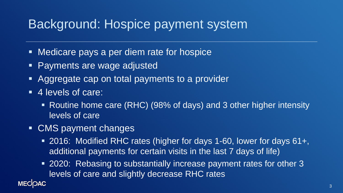## Background: Hospice payment system

- **Nedicare pays a per diem rate for hospice**
- **Payments are wage adjusted**
- Aggregate cap on total payments to a provider
- 4 levels of care:

**MECOAC** 

- Routine home care (RHC) (98% of days) and 3 other higher intensity levels of care
- CMS payment changes
	- 2016: Modified RHC rates (higher for days 1-60, lower for days 61+, additional payments for certain visits in the last 7 days of life)
	- **2020:** Rebasing to substantially increase payment rates for other 3 levels of care and slightly decrease RHC rates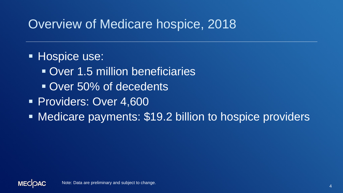## Overview of Medicare hospice, 2018

- **Hospice use:** 
	- Over 1.5 million beneficiaries
	- Over 50% of decedents
- **Providers: Over 4,600**
- Medicare payments: \$19.2 billion to hospice providers

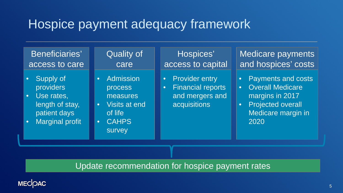## Hospice payment adequacy framework

| Beneficiaries'<br>access to care                                                                                                         | <b>Quality of</b><br>care                                                                                                     | Hospices'<br>access to capital                                                                                 | <b>Medicare payments</b><br>and hospices' costs                                                                                                  |
|------------------------------------------------------------------------------------------------------------------------------------------|-------------------------------------------------------------------------------------------------------------------------------|----------------------------------------------------------------------------------------------------------------|--------------------------------------------------------------------------------------------------------------------------------------------------|
| Supply of<br>$\bullet$<br>providers<br>Use rates,<br>$\bullet$<br>length of stay,<br>patient days<br><b>Marginal profit</b><br>$\bullet$ | Admission<br>$\bullet$<br>process<br>measures<br>Visits at end<br>$\bullet$<br>of life<br><b>CAHPS</b><br>$\bullet$<br>survey | <b>Provider entry</b><br>$\bullet$<br><b>Financial reports</b><br>$\bullet$<br>and mergers and<br>acquisitions | <b>Payments and costs</b><br><b>Overall Medicare</b><br>$\bullet$ .<br>margins in 2017<br><b>Projected overall</b><br>Medicare margin in<br>2020 |
|                                                                                                                                          |                                                                                                                               |                                                                                                                |                                                                                                                                                  |

#### Update recommendation for hospice payment rates

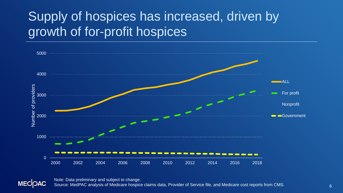## Supply of hospices has increased, driven by growth of for-profit hospices





Note: Data preliminary and subject to change. Source: MedPAC analysis of Medicare hospice claims data, Provider of Service file, and Medicare cost reports from CMS.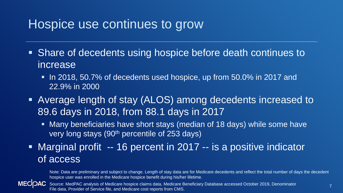#### Hospice use continues to grow

- **Share of decedents using hospice before death continues to** increase
	- In 2018, 50.7% of decedents used hospice, up from 50.0% in 2017 and 22.9% in 2000
- Average length of stay (ALOS) among decedents increased to 89.6 days in 2018, from 88.1 days in 2017
	- Many beneficiaries have short stays (median of 18 days) while some have very long stays (90<sup>th</sup> percentile of 253 days)
- Marginal profit -- 16 percent in 2017 -- is a positive indicator of access

Note: Data are preliminary and subject to change. Length of stay data are for Medicare decedents and reflect the total number of days the decedent hospice user was enrolled in the Medicare hospice benefit during his/her lifetime.



Source: MedPAC analysis of Medicare hospice claims data, Medicare Beneficiary Database accessed October 2019, Denominator File data, Provider of Service file, and Medicare cost reports from CMS.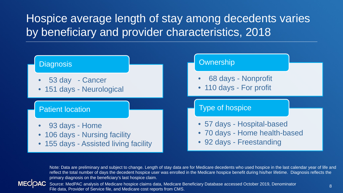#### Hospice average length of stay among decedents varies by beneficiary and provider characteristics, 2018



Note: Data are preliminary and subject to change. Length of stay data are for Medicare decedents who used hospice in the last calendar year of life and reflect the total number of days the decedent hospice user was enrolled in the Medicare hospice benefit during his/her lifetime. Diagnosis reflects the primary diagnosis on the beneficiary's last hospice claim.



Source: MedPAC analysis of Medicare hospice claims data, Medicare Beneficiary Database accessed October 2019, Denominator File data, Provider of Service file, and Medicare cost reports from CMS.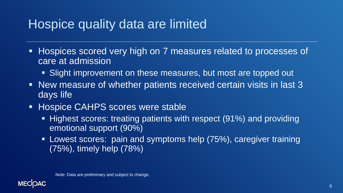## Hospice quality data are limited

- **Hospices scored very high on 7 measures related to processes of** care at admission
	- Slight improvement on these measures, but most are topped out
- New measure of whether patients received certain visits in last 3 days life
- **Hospice CAHPS scores were stable** 
	- Highest scores: treating patients with respect (91%) and providing emotional support (90%)
	- **Lowest scores: pain and symptoms help (75%), caregiver training** (75%), timely help (78%)

Note: Data are preliminary and subject to change.

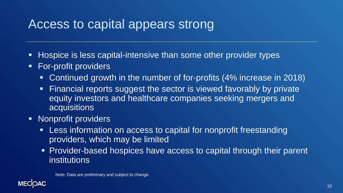#### Access to capital appears strong

- **Hospice is less capital-intensive than some other provider types**
- **For-profit providers** 
	- **Continued growth in the number of for-profits (4% increase in 2018)**
	- Financial reports suggest the sector is viewed favorably by private equity investors and healthcare companies seeking mergers and acquisitions
- **Nonprofit providers** 
	- **EXECT:** Less information on access to capital for nonprofit freestanding providers, which may be limited
	- **Provider-based hospices have access to capital through their parent** institutions

Note: Data are preliminary and subject to change.

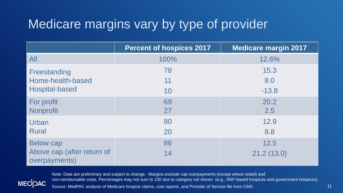# Medicare margins vary by type of provider

|                                                                 | <b>Percent of hospices 2017</b> | <b>Medicare margin 2017</b> |
|-----------------------------------------------------------------|---------------------------------|-----------------------------|
| All                                                             | 100%                            | 12.6%                       |
| Freestanding                                                    | 78                              | 15.3                        |
| Home-health-based                                               | 11                              | 8.0                         |
| Hospital-based                                                  | 10                              | $-13.8$                     |
| For profit                                                      | 69                              | 20.2                        |
| Nonprofit                                                       | 27                              | 2.5                         |
| Urban                                                           | 80                              | 12.9                        |
| <b>Rural</b>                                                    | 20                              | 8.8                         |
| <b>Below cap</b><br>Above cap (after return of<br>overpayments) | 86<br>14                        | 12.5<br>21.2(13.0)          |



Note: Data are preliminary and subject to change. Margins exclude cap overpayments (except where noted) and non-reimbursable costs. Percentages may not sum to 100 due to category not shown (e.g., SNF-based hospices and government hospices).

Source: MedPAC analysis of Medicare hospice claims, cost reports, and Provider of Service file from CMS.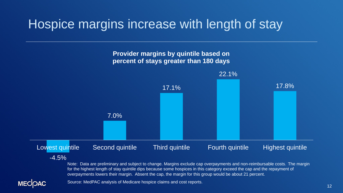#### Hospice margins increase with length of stay



for the highest length of stay quintile dips because some hospices in this category exceed the cap and the repayment of overpayments lowers their margin. Absent the cap, the margin for this group would be about 21 percent.

**MECOAC** 

Source: MedPAC analysis of Medicare hospice claims and cost reports.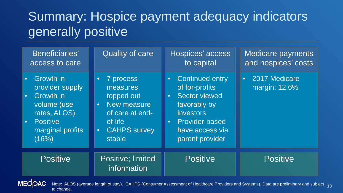# Summary: Hospice payment adequacy indicators generally positive

| Beneficiaries'<br>access to care                                                                                                                                    | <b>Quality of care</b>                                                                                                                        | Hospices' access<br>to capital                                                                                                                                                                      | <b>Medicare payments</b><br>and hospices' costs |
|---------------------------------------------------------------------------------------------------------------------------------------------------------------------|-----------------------------------------------------------------------------------------------------------------------------------------------|-----------------------------------------------------------------------------------------------------------------------------------------------------------------------------------------------------|-------------------------------------------------|
| Growth in<br>$\bullet$<br>provider supply<br>$\bullet$ .<br>Growth in<br>volume (use<br>rates, ALOS)<br><b>Positive</b><br>$\bullet$ .<br>marginal profits<br>(16%) | 7 process<br>$\bullet$<br>measures<br>topped out<br>• New measure<br>of care at end-<br>of-life<br><b>CAHPS survey</b><br>$\bullet$<br>stable | <b>Continued entry</b><br>$\bullet$<br>of for-profits<br>Sector viewed<br>$\bullet$<br>favorably by<br><i>investors</i><br><b>Provider-based</b><br>$\bullet$<br>have access via<br>parent provider | 2017 Medicare<br>$\bullet$<br>margin: 12.6%     |
| <b>Positive</b>                                                                                                                                                     | Positive; limited<br>information                                                                                                              | <b>Positive</b>                                                                                                                                                                                     | Positive                                        |

**MECOAC** Note: ALOS (average length of stay). CAHPS (Consumer Assessment of Healthcare Providers and Systems). Data are preliminary and subject <sub>13</sub> to change.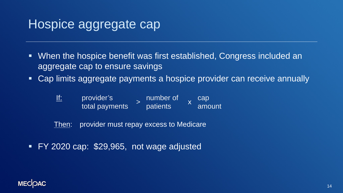## Hospice aggregate cap

- When the hospice benefit was first established, Congress included an aggregate cap to ensure savings
- Cap limits aggregate payments a hospice provider can receive annually

| $\mathop{\rm If}\nolimits$ | provider's     | number of | cap    |
|----------------------------|----------------|-----------|--------|
|                            | total payments | patients  | amount |

Then: provider must repay excess to Medicare

FY 2020 cap: \$29,965, not wage adjusted

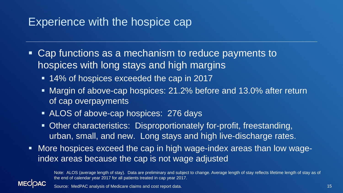#### Experience with the hospice cap

- Cap functions as a mechanism to reduce payments to hospices with long stays and high margins
	- 14% of hospices exceeded the cap in 2017
	- Margin of above-cap hospices: 21.2% before and 13.0% after return of cap overpayments
	- ALOS of above-cap hospices: 276 days
	- **Other characteristics: Disproportionately for-profit, freestanding,** urban, small, and new. Long stays and high live-discharge rates.
- More hospices exceed the cap in high wage-index areas than low wageindex areas because the cap is not wage adjusted

Note: ALOS (average length of stay). Data are preliminary and subject to change. Average length of stay reflects lifetime length of stay as of the end of calendar year 2017 for all patients treated in cap year 2017.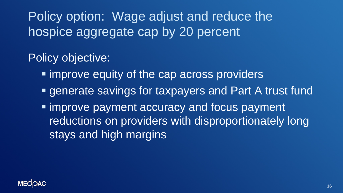Policy option: Wage adjust and reduce the hospice aggregate cap by 20 percent

Policy objective:

- **F** improve equity of the cap across providers
- **Example 12 register savings for taxpayers and Part A trust fund**
- $\blacksquare$  **improve payment accuracy and focus payment** reductions on providers with disproportionately long stays and high margins

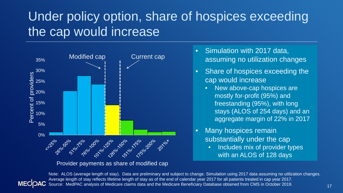# Under policy option, share of hospices exceeding the cap would increase



Provider payments as share of modified cap

- Simulation with 2017 data, assuming no utilization changes
- Share of hospices exceeding the cap would increase
	- New above-cap hospices are mostly for-profit (95%) and freestanding (95%), with long stays (ALOS of 254 days) and an aggregate margin of 22% in 2017
- Many hospices remain substantially under the cap
	- Includes mix of provider types with an ALOS of 128 days

Note: ALOS (average length of stay). Data are preliminary and subject to change. Simulation using 2017 data assuming no utilization changes. Average length of stay reflects lifetime length of stay as of the end of calendar year 2017 for all patients treated in cap year 2017. MedPAC analysis of Medicare claims data and the Medicare Beneficiary Database obtained from CMS in October 2019.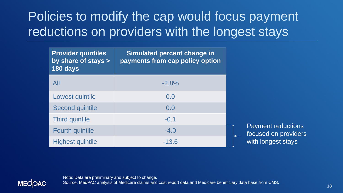# Policies to modify the cap would focus payment reductions on providers with the longest stays

| <b>Provider quintiles</b><br>by share of stays ><br>180 days | Simulated percent change in<br>payments from cap policy option |  |
|--------------------------------------------------------------|----------------------------------------------------------------|--|
| All                                                          | $-2.8%$                                                        |  |
| Lowest quintile                                              | 0.0                                                            |  |
| <b>Second quintile</b>                                       | 0.0                                                            |  |
| <b>Third quintile</b>                                        | $-0.1$                                                         |  |
| <b>Fourth quintile</b>                                       | $-4.0$                                                         |  |
| <b>Highest quintile</b>                                      | $-13.6$                                                        |  |

Payment reductions focused on providers with longest stays

![](_page_17_Picture_3.jpeg)

Note: Data are preliminary and subject to change. Source: MedPAC analysis of Medicare claims and cost report data and Medicare beneficiary data base from CMS.